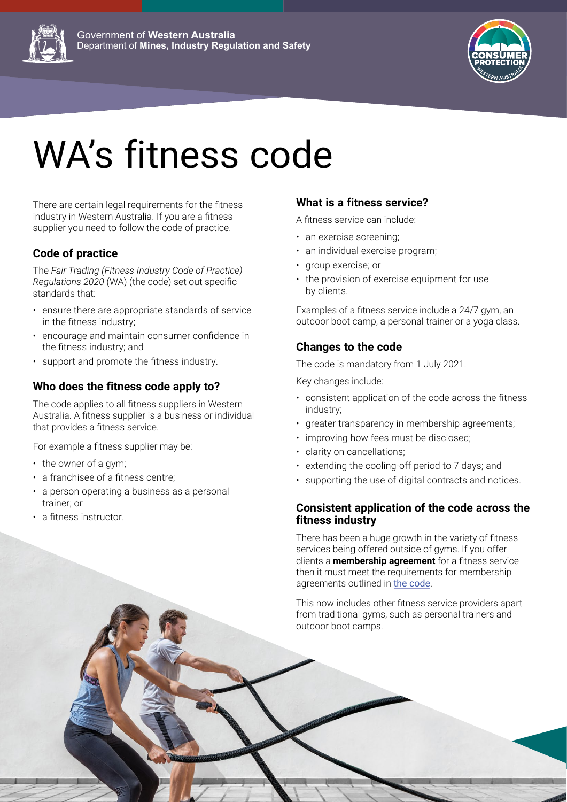



# WA's fitness code

There are certain legal requirements for the fitness industry in Western Australia. If you are a fitness supplier you need to follow the code of practice.

### **Code of practice**

The *Fair Trading (Fitness Industry Code of Practice) Regulations 2020* (WA) (the code) set out specific standards that:

- ensure there are appropriate standards of service in the fitness industry;
- encourage and maintain consumer confidence in the fitness industry; and
- support and promote the fitness industry.

### **Who does the fitness code apply to?**

The code applies to all fitness suppliers in Western Australia. A fitness supplier is a business or individual that provides a fitness service.

For example a fitness supplier may be:

- the owner of a gym;
- a franchisee of a fitness centre;
- a person operating a business as a personal trainer; or
- a fitness instructor.

#### **What is a fitness service?**

A fitness service can include:

- an exercise screening;
- an individual exercise program;
- group exercise; or
- the provision of exercise equipment for use by clients.

Examples of a fitness service include a 24/7 gym, an outdoor boot camp, a personal trainer or a yoga class.

#### **Changes to the code**

The code is mandatory from 1 July 2021.

Key changes include:

- consistent application of the code across the fitness industry;
- greater transparency in membership agreements;
- improving how fees must be disclosed;
- clarity on cancellations;
- extending the cooling-off period to 7 days; and
- supporting the use of digital contracts and notices.

#### **Consistent application of the code across the fitness industry**

There has been a huge growth in the variety of fitness services being offered outside of gyms. If you offer clients a **membership agreement** for a fitness service then it must meet the requirements for membership agreements outlined in [the code](https://www.legislation.wa.gov.au/legislation/statutes.nsf/law_s52065_currencies.html&view=asmade).

This now includes other fitness service providers apart from traditional gyms, such as personal trainers and outdoor boot camps.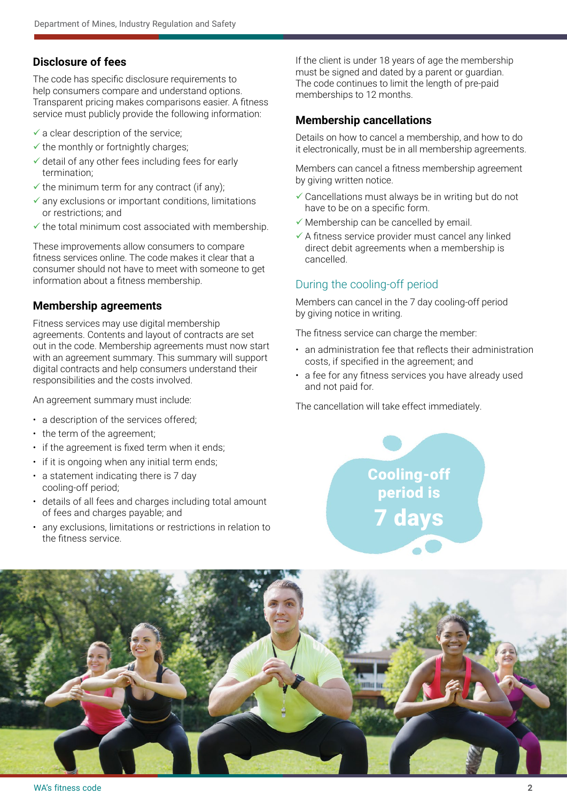#### **Disclosure of fees**

The code has specific disclosure requirements to help consumers compare and understand options. Transparent pricing makes comparisons easier. A fitness service must publicly provide the following information:

- $\checkmark$  a clear description of the service;
- $\checkmark$  the monthly or fortnightly charges;
- $\checkmark$  detail of any other fees including fees for early termination;
- $\checkmark$  the minimum term for any contract (if any);
- $\checkmark$  any exclusions or important conditions, limitations or restrictions; and
- $\checkmark$  the total minimum cost associated with membership.

These improvements allow consumers to compare fitness services online. The code makes it clear that a consumer should not have to meet with someone to get information about a fitness membership.

#### **Membership agreements**

Fitness services may use digital membership agreements. Contents and layout of contracts are set out in the code. Membership agreements must now start with an agreement summary. This summary will support digital contracts and help consumers understand their responsibilities and the costs involved.

An agreement summary must include:

- a description of the services offered;
- the term of the agreement;
- if the agreement is fixed term when it ends;
- if it is ongoing when any initial term ends;
- a statement indicating there is 7 day cooling-off period;
- details of all fees and charges including total amount of fees and charges payable; and
- any exclusions, limitations or restrictions in relation to the fitness service.

If the client is under 18 years of age the membership must be signed and dated by a parent or guardian. The code continues to limit the length of pre-paid memberships to 12 months.

#### **Membership cancellations**

Details on how to cancel a membership, and how to do it electronically, must be in all membership agreements.

Members can cancel a fitness membership agreement by giving written notice.

- $\checkmark$  Cancellations must always be in writing but do not have to be on a specific form.
- $\checkmark$  Membership can be cancelled by email.
- $\checkmark$  A fitness service provider must cancel any linked direct debit agreements when a membership is cancelled.

#### During the cooling-off period

Members can cancel in the 7 day cooling-off period by giving notice in writing.

The fitness service can charge the member:

- an administration fee that reflects their administration costs, if specified in the agreement; and
- a fee for any fitness services you have already used and not paid for.

The cancellation will take effect immediately.

Cooling-off period is 7 days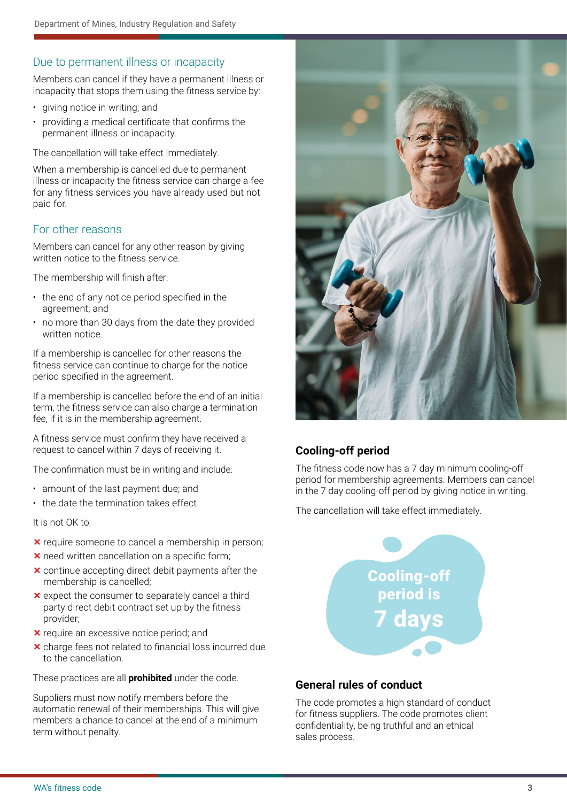#### Due to permanent illness or incapacity

Members can cancel if they have a permanent illness or incapacity that stops them using the fitness service by:

- giving notice in writing; and
- providing a medical certificate that confirms the permanent illness or incapacity.

The cancellation will take effect immediately.

When a membership is cancelled due to permanent illness or incapacity the fitness service can charge a fee for any fitness services you have already used but not paid for.

#### For other reasons

Members can cancel for any other reason by giving written notice to the fitness service.

The membership will finish after:

- the end of any notice period specified in the agreement; and
- no more than 30 days from the date they provided written notice.

If a membership is cancelled for other reasons the fitness service can continue to charge for the notice period specified in the agreement.

If a membership is cancelled before the end of an initial term, the fitness service can also charge a termination fee, if it is in the membership agreement.

A fitness service must confirm they have received a request to cancel within 7 days of receiving it.

The confirmation must be in writing and include:

- amount of the last payment due; and
- the date the termination takes effect.

It is not OK to:

- $\times$  require someone to cancel a membership in person;
- **x** need written cancellation on a specific form;
- $\times$  continue accepting direct debit payments after the membership is cancelled;
- $\times$  expect the consumer to separately cancel a third party direct debit contract set up by the fitness provider;
- **x** require an excessive notice period; and
- $\times$  charge fees not related to financial loss incurred due to the cancellation.

These practices are all **prohibited** under the code.

Suppliers must now notify members before the automatic renewal of their memberships. This will give members a chance to cancel at the end of a minimum term without penalty.



### **Cooling-off period**

The fitness code now has a 7 day minimum cooling-off period for membership agreements. Members can cancel in the 7 day cooling-off period by giving notice in writing.

The cancellation will take effect immediately.

## Cooling-off period is 7 days

#### **General rules of conduct**

The code promotes a high standard of conduct for fitness suppliers. The code promotes client confidentiality, being truthful and an ethical sales process.